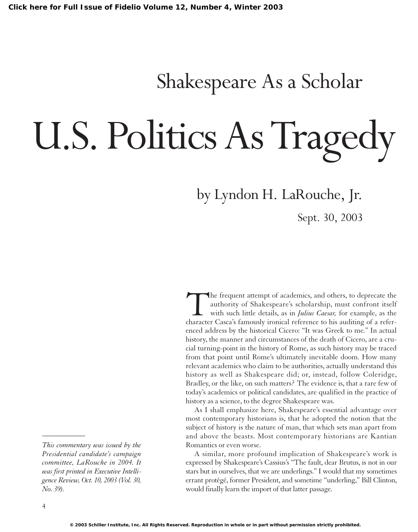## Shakespeare As a Scholar

## U.S. Politics As Tragedy

by Lyndon H. LaRouche, Jr.

Sept. 30, 2003

The frequent attempt of academics, and others, to deprecate the authority of Shakespeare's scholarship, must confront itself with such little details, as in *Julius Caesar,* for example, as the character Casca's famously ironical reference to his auditing of a referenced address by the historical Cicero: "It was Greek to me." In actual history, the manner and circumstances of the death of Cicero, are a crucial turning-point in the history of Rome, as such history may be traced from that point until Rome's ultimately inevitable doom. How many relevant academics who claim to be authorities, actually understand this history as well as Shakespeare did; or, instead, follow Coleridge, Bradley, or the like, on such matters? The evidence is, that a rare few of today's academics or political candidates, are qualified in the practice of history as a science, to the degree Shakespeare was.

As I shall emphasize here, Shakespeare's essential advantage over most contemporary historians is, that he adopted the notion that the subject of history is the nature of man, that which sets man apart from and above the beasts. Most contemporary historians are Kantian Romantics or even worse.

A similar, more profound implication of Shakespeare's work is expressed by Shakespeare's Cassius's "The fault, dear Brutus, is not in our stars but in ourselves, that we are underlings." I would that my sometimes errant protégé, former President, and sometime "underling," Bill Clinton, would finally learn the import of that latter passage.

*\_\_\_\_\_\_\_\_\_\_\_\_*

*This commentary was issued by the Presidential candidate's campaign committee, LaRouche in 2004. It was first printed in Executive Intelligence Review, Oct. 10, 2003 (Vol. 30, No. 39).*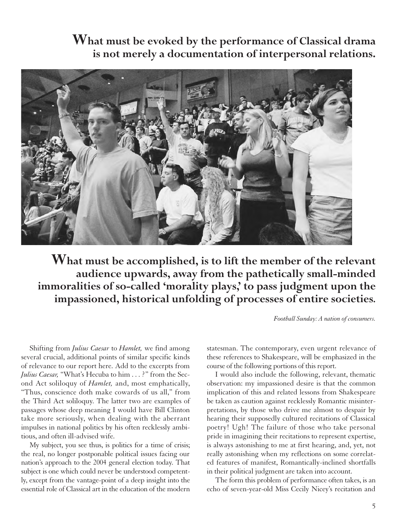**What must be evoked by the performance of Classical drama is not merely a documentation of interpersonal relations.** 



**What must be accomplished, is to lift the member of the relevant audience upwards, away from the pathetically small-minded immoralities of so-called 'morality plays,' to pass judgment upon the impassioned, historical unfolding of processes of entire societies.**

*Football Sunday: A nation of consumers.*

Shifting from *Julius Caesar* to *Hamlet,* we find among several crucial, additional points of similar specific kinds of relevance to our report here. Add to the excerpts from *Julius Caesar,* "What's Hecuba to him . . . ?" from the Second Act soliloquy of *Hamlet,* and, most emphatically, "Thus, conscience doth make cowards of us all," from the Third Act soliloquy. The latter two are examples of passages whose deep meaning I would have Bill Clinton take more seriously, when dealing with the aberrant impulses in national politics by his often recklessly ambitious, and often ill-advised wife.

My subject, you see thus, is politics for a time of crisis; the real, no longer postponable political issues facing our nation's approach to the 2004 general election today. That subject is one which could never be understood competently, except from the vantage-point of a deep insight into the essential role of Classical art in the education of the modern statesman. The contemporary, even urgent relevance of these references to Shakespeare, will be emphasized in the course of the following portions of this report.

I would also include the following, relevant, thematic observation: my impassioned desire is that the common implication of this and related lessons from Shakespeare be taken as caution against recklessly Romantic misinterpretations, by those who drive me almost to despair by hearing their supposedly cultured recitations of Classical poetry! Ugh! The failure of those who take personal pride in imagining their recitations to represent expertise, is always astonishing to me at first hearing, and, yet, not really astonishing when my reflections on some correlated features of manifest, Romantically-inclined shortfalls in their political judgment are taken into account.

The form this problem of performance often takes, is an echo of seven-year-old Miss Cecily Nicey's recitation and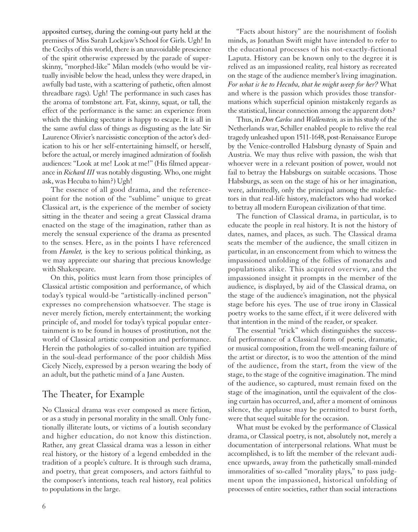apposited curtsey, during the coming-out party held at the premises of Miss Sarah Lockjaw's School for Girls. Ugh! In the Cecilys of this world, there is an unavoidable prescience of the spirit otherwise expressed by the parade of superskinny, "morphed-like" Milan models (who would be virtually invisible below the head, unless they were draped, in awfully bad taste, with a scattering of pathetic, often almost threadbare rags). Ugh! The performance in such cases has the aroma of tombstone art. Fat, skinny, squat, or tall, the effect of the performance is the same: an experience from which the thinking spectator is happy to escape. It is all in the same awful class of things as disgusting as the late Sir Laurence Olivier's narcissistic conception of the actor's dedication to his or her self-entertaining himself, or herself, before the actual, or merely imagined admiration of foolish audiences: "Look at me! Look at me!" (His filmed appearance in *Richard III* was notably disgusting. Who, one might ask, was Hecuba to him?) Ugh!

The essence of all good drama, and the referencepoint for the notion of the "sublime" unique to great Classical art, is the experience of the member of society sitting in the theater and seeing a great Classical drama enacted on the stage of the imagination, rather than as merely the sensual experience of the drama as presented to the senses. Here, as in the points I have referenced from *Hamlet,* is the key to serious political thinking, as we may appreciate our sharing that precious knowledge with Shakespeare.

On this, politics must learn from those principles of Classical artistic composition and performance, of which today's typical would-be "artistically-inclined person" expresses no comprehension whatsoever. The stage is never merely fiction, merely entertainment; the working principle of, and model for today's typical popular entertainment is to be found in houses of prostitution, not the world of Classical artistic composition and performance. Herein the pathologies of so-called intuition are typified in the soul-dead performance of the poor childish Miss Cicely Nicely, expressed by a person wearing the body of an adult, but the pathetic mind of a Jane Austen.

## The Theater, for Example

No Classical drama was ever composed as mere fiction, or as a study in personal morality in the small. Only functionally illiterate louts, or victims of a loutish secondary and higher education, do not know this distinction. Rather, any great Classical drama was a lesson in either real history, or the history of a legend embedded in the tradition of a people's culture. It is through such drama, and poetry, that great composers, and actors faithful to the composer's intentions, teach real history, real politics to populations in the large.

"Facts about history" are the nourishment of foolish minds, as Jonathan Swift might have intended to refer to the educational processes of his not-exactly-fictional Laputa. History can be known only to the degree it is relived as an impassioned reality, real history as recreated on the stage of the audience member's living imagination. *For what is he to Hecuba, that he might weep for her?* What and where is the passion which provides those transformations which superficial opinion mistakenly regards as the statistical, linear connection among the apparent dots?

Thus, in *Don Carlos* and *Wallenstein,* as in his study of the Netherlands war, Schiller enabled people to relive the real tragedy unleashed upon 1511-1648, post-Renaissance Europe by the Venice-controlled Habsburg dynasty of Spain and Austria. We may thus relive with passion, the wish that whoever were in a relevant position of power, would not fail to betray the Habsburgs on suitable occasions. Those Habsburgs, as seen on the stage of his or her imagination, were, admittedly, only the principal among the malefactors in that real-life history, malefactors who had worked to betray all modern European civilization of that time.

The function of Classical drama, in particular, is to educate the people in real history. It is not the history of dates, names, and places, as such. The Classical drama seats the member of the audience, the small citizen in particular, in an ensconcement from which to witness the impassioned unfolding of the follies of monarchs and populations alike. This acquired overview, and the impassioned insight it prompts in the member of the audience, is displayed, by aid of the Classical drama, on the stage of the audience's imagination, not the physical stage before his eyes. The use of true irony in Classical poetry works to the same effect, if it were delivered with that intention in the mind of the reader, or speaker.

The essential "trick" which distinguishes the successful performance of a Classical form of poetic, dramatic, or musical composition, from the well-meaning failure of the artist or director, is to woo the attention of the mind of the audience, from the start, from the view of the stage, to the stage of the cognitive imagination. The mind of the audience, so captured, must remain fixed on the stage of the imagination, until the equivalent of the closing curtain has occurred, and, after a moment of ominous silence, the applause may be permitted to burst forth, were that sequel suitable for the occasion.

What must be evoked by the performance of Classical drama, or Classical poetry, is not, absolutely not, merely a documentation of interpersonal relations. What must be accomplished, is to lift the member of the relevant audience upwards, away from the pathetically small-minded immoralities of so-called "morality plays," to pass judgment upon the impassioned, historical unfolding of processes of entire societies, rather than social interactions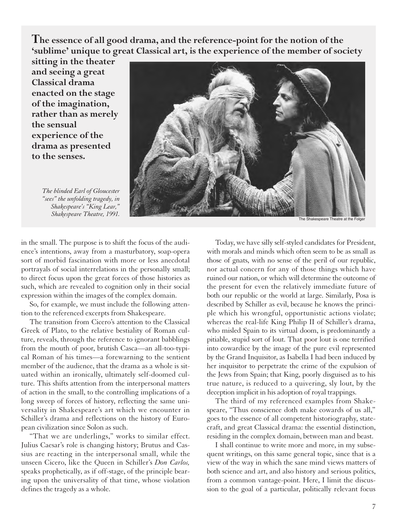**The essence of all good drama, and the reference-point for the notion of the 'sublime' unique to great Classical art, is the experience of the member of society**

**sitting in the theater and seeing a great Classical drama enacted on the stage of the imagination, rather than as merely the sensual experience of the drama as presented to the senses.**

**Shakespeare Theatre, 1991.** The Shakespeare Theatre at the Folger

*The blinded Earl of Gloucester "sees" the unfolding tragedy, in Shakespeare's "King Lear,"*

in the small. The purpose is to shift the focus of the audience's intentions, away from a masturbatory, soap-opera sort of morbid fascination with more or less anecdotal portrayals of social interrelations in the personally small; to direct focus upon the great forces of those histories as such, which are revealed to cognition only in their social expression within the images of the complex domain.

So, for example, we must include the following attention to the referenced excerpts from Shakespeare.

The transition from Cicero's attention to the Classical Greek of Plato, to the relative bestiality of Roman culture, reveals, through the reference to ignorant babblings from the mouth of poor, brutish Casca—an all-too-typical Roman of his times—a forewarning to the sentient member of the audience, that the drama as a whole is situated within an ironically, ultimately self-doomed culture. This shifts attention from the interpersonal matters of action in the small, to the controlling implications of a long sweep of forces of history, reflecting the same universality in Shakespeare's art which we encounter in Schiller's drama and reflections on the history of European civilization since Solon as such.

"That we are underlings," works to similar effect. Julius Caesar's role is changing history; Brutus and Cassius are reacting in the interpersonal small, while the unseen Cicero, like the Queen in Schiller's *Don Carlos,* speaks prophetically, as if off-stage, of the principle bearing upon the universality of that time, whose violation defines the tragedy as a whole.

Today, we have silly self-styled candidates for President, with morals and minds which often seem to be as small as those of gnats, with no sense of the peril of our republic, nor actual concern for any of those things which have ruined our nation, or which will determine the outcome of the present for even the relatively immediate future of both our republic or the world at large. Similarly, Posa is described by Schiller as evil, because he knows the principle which his wrongful, opportunistic actions violate; whereas the real-life King Philip II of Schiller's drama, who misled Spain to its virtual doom, is predominantly a pitiable, stupid sort of lout. That poor lout is one terrified into cowardice by the image of the pure evil represented by the Grand Inquisitor, as Isabella I had been induced by her inquisitor to perpetrate the crime of the expulsion of the Jews from Spain; that King, poorly disguised as to his true nature, is reduced to a quivering, sly lout, by the deception implicit in his adoption of royal trappings.

The third of my referenced examples from Shakespeare, "Thus conscience doth make cowards of us all," goes to the essence of all competent historiography, statecraft, and great Classical drama: the essential distinction, residing in the complex domain, between man and beast.

I shall continue to write more and more, in my subsequent writings, on this same general topic, since that is a view of the way in which the sane mind views matters of both science and art, and also history and serious politics, from a common vantage-point. Here, I limit the discussion to the goal of a particular, politically relevant focus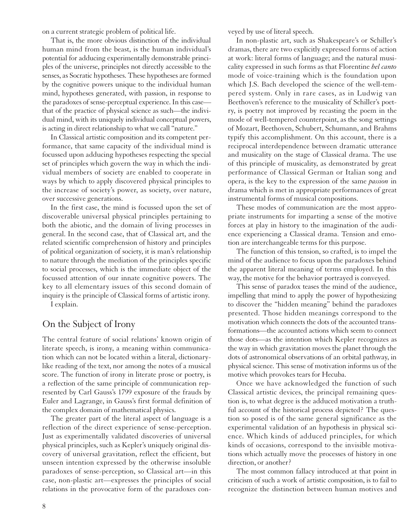on a current strategic problem of political life.

That is, the more obvious distinction of the individual human mind from the beast, is the human individual's potential for adducing experimentally demonstrable principles of the universe, principles not directly accessible to the senses, as Socratic hypotheses. These hypotheses are formed by the cognitive powers unique to the individual human mind, hypotheses generated, with passion, in response to the paradoxes of sense-perceptual experience. In this case that of the practice of physical science as such—the individual mind, with its uniquely individual conceptual powers, is acting in direct relationship to what we call "nature."

In Classical artistic composition and its competent performance, that same capacity of the individual mind is focussed upon adducing hypotheses respecting the special set of principles which govern the way in which the individual members of society are enabled to cooperate in ways by which to apply discovered physical principles to the increase of society's power, as society, over nature, over successive generations.

In the first case, the mind is focussed upon the set of discoverable universal physical principles pertaining to both the abiotic, and the domain of living processes in general. In the second case, that of Classical art, and the related scientific comprehension of history and principles of political organization of society, it is man's relationship to nature through the mediation of the principles specific to social processes, which is the immediate object of the focussed attention of our innate cognitive powers. The key to all elementary issues of this second domain of inquiry is the principle of Classical forms of artistic irony.

I explain.

## On the Subject of Irony

The central feature of social relations' known origin of literate speech, is irony, a meaning within communication which can not be located within a literal, dictionarylike reading of the text, nor among the notes of a musical score. The function of irony in literate prose or poetry, is a reflection of the same principle of communication represented by Carl Gauss's 1799 exposure of the frauds by Euler and Lagrange, in Gauss's first formal definition of the complex domain of mathematical physics.

The greater part of the literal aspect of language is a reflection of the direct experience of sense-perception. Just as experimentally validated discoveries of universal physical principles, such as Kepler's uniquely original discovery of universal gravitation, reflect the efficient, but unseen intention expressed by the otherwise insoluble paradoxes of sense-perception, so Classical art—in this case, non-plastic art—expresses the principles of social relations in the provocative form of the paradoxes conveyed by use of literal speech.

In non-plastic art, such as Shakespeare's or Schiller's dramas, there are two explicitly expressed forms of action at work: literal forms of language; and the natural musicality expressed in such forms as that Florentine *bel canto* mode of voice-training which is the foundation upon which J.S. Bach developed the science of the well-tempered system. Only in rare cases, as in Ludwig van Beethoven's reference to the musicality of Schiller's poetry, is poetry not improved by recasting the poem in the mode of well-tempered counterpoint, as the song settings of Mozart, Beethoven, Schubert, Schumann, and Brahms typify this accomplishment. On this account, there is a reciprocal interdependence between dramatic utterance and musicality on the stage of Classical drama. The use of this principle of musicality, as demonstrated by great performance of Classical German or Italian song and opera, is the key to the expression of the same *passion* in drama which is met in appropriate performances of great instrumental forms of musical compositions.

These modes of communication are the most appropriate instruments for imparting a sense of the motive forces at play in history to the imagination of the audience experiencing a Classical drama. Tension and emotion are interchangeable terms for this purpose.

The function of this tension, so crafted, is to impel the mind of the audience to focus upon the paradoxes behind the apparent literal meaning of terms employed. In this way, the motive for the behavior portrayed is conveyed.

This sense of paradox teases the mind of the audience, impelling that mind to apply the power of hypothesizing to discover the "hidden meaning" behind the paradoxes presented. Those hidden meanings correspond to the motivation which connects the dots of the accounted transformations—the accounted actions which seem to connect those dots—as the intention which Kepler recognizes as the way in which gravitation moves the planet through the dots of astronomical observations of an orbital pathway, in physical science. This sense of motivation informs us of the motive which provokes tears for Hecuba.

Once we have acknowledged the function of such Classical artistic devices, the principal remaining question is, to what degree is the adduced motivation a truthful account of the historical process depicted? The question so posed is of the same general significance as the experimental validation of an hypothesis in physical science. Which kinds of adduced principles, for which kinds of occasions, correspond to the invisible motivations which actually move the processes of history in one direction, or another?

The most common fallacy introduced at that point in criticism of such a work of artistic composition, is to fail to recognize the distinction between human motives and